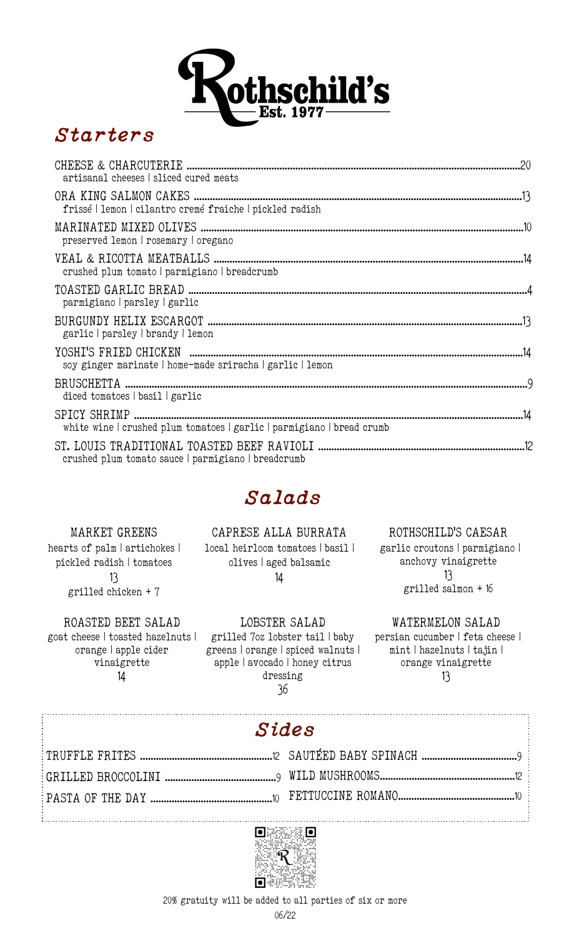

#### *Starters*

| artisanal cheeses   sliced cured meats                                 |  |
|------------------------------------------------------------------------|--|
| frissé   lemon   cilantro cremé fraiche   pickled radish               |  |
| preserved lemon   rosemary   oregano                                   |  |
| crushed plum tomato parmigiano breadcrumb                              |  |
| parmigiano parsley garlic                                              |  |
| garlic   parsley   brandy   lemon                                      |  |
| soy ginger marinate   home-made sriracha   garlic   lemon              |  |
| diced tomatoes   basil   garlic                                        |  |
| white wine   crushed plum tomatoes   garlic   parmigiano   bread crumb |  |
| crushed plum tomato sauce   parmigiano   breadcrumb                    |  |

#### *Salads*

CAPRESE ALLA BURRATA

MARKET GREENS hearts of palm | artichokes | pickled radish | tomatoes 13 grilled chicken + 7

local heirloom tomatoes | basil | olives | aged balsamic 14

 garlic croutons | parmigiano | anchovy vinaigrette 13 grilled salmon + 16

ROTHSCHILD'S CAESAR

ROASTED BEET SALAD goat cheese | toasted hazelnuts | orange | apple cider vinaigrette 14

:<br>:……………………………………………………………………

j

LOBSTER SALAD grilled 7oz lobster tail | baby greens | orange | spiced walnuts | apple | avocado | honey citrus dressing 36

WATERMELON SALAD persian cucumber | feta cheese | mint | hazelnuts | tajin | orange vinaigrette 13

# *Sides*